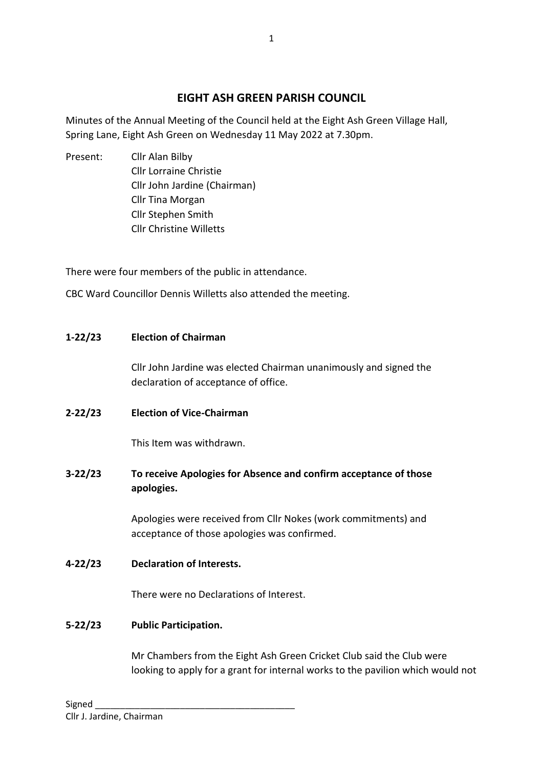# **EIGHT ASH GREEN PARISH COUNCIL**

Minutes of the Annual Meeting of the Council held at the Eight Ash Green Village Hall, Spring Lane, Eight Ash Green on Wednesday 11 May 2022 at 7.30pm.

Present: Cllr Alan Bilby Cllr Lorraine Christie Cllr John Jardine (Chairman) Cllr Tina Morgan Cllr Stephen Smith Cllr Christine Willetts

There were four members of the public in attendance.

CBC Ward Councillor Dennis Willetts also attended the meeting.

# **1-22/23 Election of Chairman**

Cllr John Jardine was elected Chairman unanimously and signed the declaration of acceptance of office.

**2-22/23 Election of Vice-Chairman**

This Item was withdrawn.

**3-22/23 To receive Apologies for Absence and confirm acceptance of those apologies.**

> Apologies were received from Cllr Nokes (work commitments) and acceptance of those apologies was confirmed.

**4-22/23 Declaration of Interests.**

There were no Declarations of Interest.

# **5-22/23 Public Participation.**

Mr Chambers from the Eight Ash Green Cricket Club said the Club were looking to apply for a grant for internal works to the pavilion which would not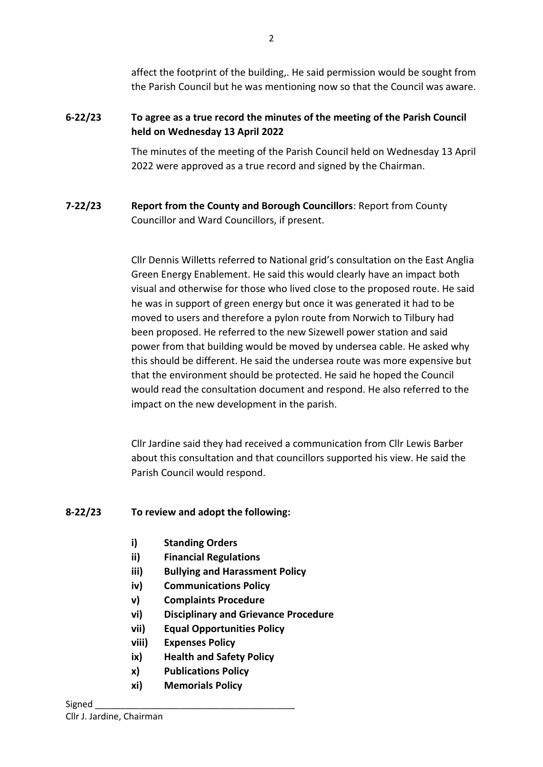affect the footprint of the building,. He said permission would be sought from the Parish Council but he was mentioning now so that the Council was aware.

# **6-22/23 To agree as a true record the minutes of the meeting of the Parish Council held on Wednesday 13 April 2022**

The minutes of the meeting of the Parish Council held on Wednesday 13 April 2022 were approved as a true record and signed by the Chairman.

# **7-22/23 Report from the County and Borough Councillors**: Report from County Councillor and Ward Councillors, if present.

Cllr Dennis Willetts referred to National grid's consultation on the East Anglia Green Energy Enablement. He said this would clearly have an impact both visual and otherwise for those who lived close to the proposed route. He said he was in support of green energy but once it was generated it had to be moved to users and therefore a pylon route from Norwich to Tilbury had been proposed. He referred to the new Sizewell power station and said power from that building would be moved by undersea cable. He asked why this should be different. He said the undersea route was more expensive but that the environment should be protected. He said he hoped the Council would read the consultation document and respond. He also referred to the impact on the new development in the parish.

Cllr Jardine said they had received a communication from Cllr Lewis Barber about this consultation and that councillors supported his view. He said the Parish Council would respond.

# **8-22/23 To review and adopt the following:**

- **i) Standing Orders**
- **ii) Financial Regulations**
- **iii) Bullying and Harassment Policy**
- **iv) Communications Policy**
- **v) Complaints Procedure**
- **vi) Disciplinary and Grievance Procedure**
- **vii) Equal Opportunities Policy**
- **viii) Expenses Policy**
- **ix) Health and Safety Policy**
- **x) Publications Policy**
- **xi) Memorials Policy**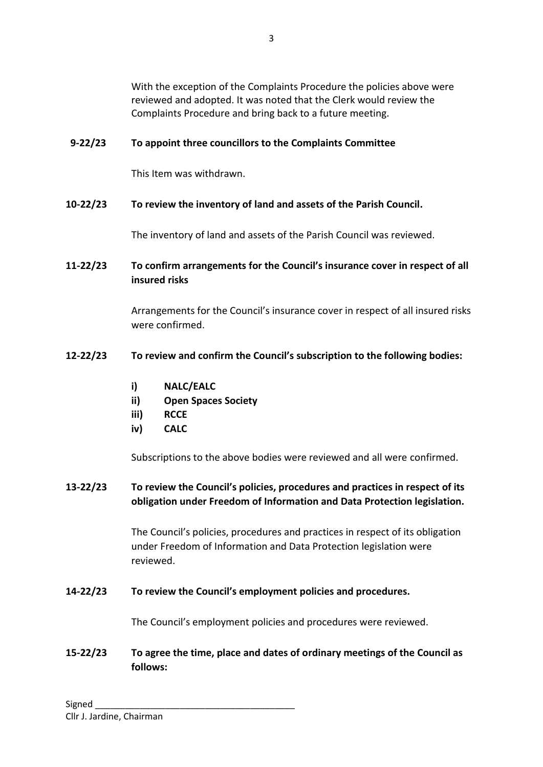With the exception of the Complaints Procedure the policies above were reviewed and adopted. It was noted that the Clerk would review the Complaints Procedure and bring back to a future meeting.

# **9-22/23 To appoint three councillors to the Complaints Committee**

This Item was withdrawn.

#### **10-22/23 To review the inventory of land and assets of the Parish Council.**

The inventory of land and assets of the Parish Council was reviewed.

### **11-22/23 To confirm arrangements for the Council's insurance cover in respect of all insured risks**

Arrangements for the Council's insurance cover in respect of all insured risks were confirmed.

#### **12-22/23 To review and confirm the Council's subscription to the following bodies:**

- **i) NALC/EALC**
- **ii) Open Spaces Society**
- **iii) RCCE**
- **iv) CALC**

Subscriptions to the above bodies were reviewed and all were confirmed.

### **13-22/23 To review the Council's policies, procedures and practices in respect of its obligation under Freedom of Information and Data Protection legislation.**

The Council's policies, procedures and practices in respect of its obligation under Freedom of Information and Data Protection legislation were reviewed.

#### **14-22/23 To review the Council's employment policies and procedures.**

The Council's employment policies and procedures were reviewed.

# **15-22/23 To agree the time, place and dates of ordinary meetings of the Council as follows:**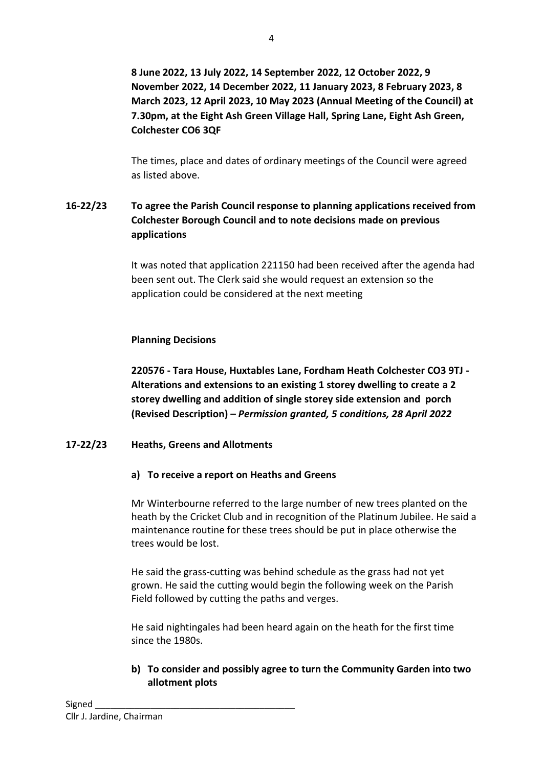**8 June 2022, 13 July 2022, 14 September 2022, 12 October 2022, 9 November 2022, 14 December 2022, 11 January 2023, 8 February 2023, 8 March 2023, 12 April 2023, 10 May 2023 (Annual Meeting of the Council) at 7.30pm, at the Eight Ash Green Village Hall, Spring Lane, Eight Ash Green, Colchester CO6 3QF**

The times, place and dates of ordinary meetings of the Council were agreed as listed above.

# **16-22/23 To agree the Parish Council response to planning applications received from Colchester Borough Council and to note decisions made on previous applications**

It was noted that application 221150 had been received after the agenda had been sent out. The Clerk said she would request an extension so the application could be considered at the next meeting

### **Planning Decisions**

**220576 - Tara House, Huxtables Lane, Fordham Heath Colchester CO3 9TJ - Alterations and extensions to an existing 1 storey dwelling to create a 2 storey dwelling and addition of single storey side extension and porch (Revised Description) –** *Permission granted, 5 conditions, 28 April 2022*

#### **17-22/23 Heaths, Greens and Allotments**

#### **a) To receive a report on Heaths and Greens**

Mr Winterbourne referred to the large number of new trees planted on the heath by the Cricket Club and in recognition of the Platinum Jubilee. He said a maintenance routine for these trees should be put in place otherwise the trees would be lost.

He said the grass-cutting was behind schedule as the grass had not yet grown. He said the cutting would begin the following week on the Parish Field followed by cutting the paths and verges.

He said nightingales had been heard again on the heath for the first time since the 1980s.

### **b) To consider and possibly agree to turn the Community Garden into two allotment plots**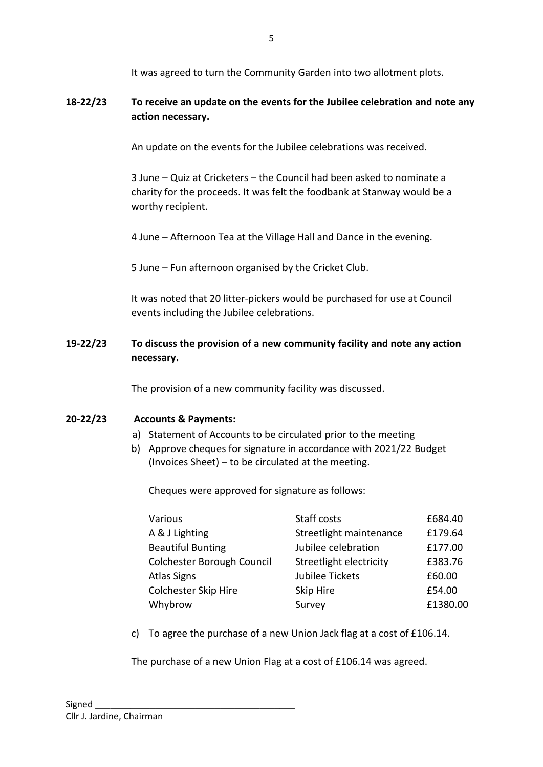It was agreed to turn the Community Garden into two allotment plots.

### **18-22/23 To receive an update on the events for the Jubilee celebration and note any action necessary.**

An update on the events for the Jubilee celebrations was received.

3 June – Quiz at Cricketers – the Council had been asked to nominate a charity for the proceeds. It was felt the foodbank at Stanway would be a worthy recipient.

4 June – Afternoon Tea at the Village Hall and Dance in the evening.

5 June – Fun afternoon organised by the Cricket Club.

It was noted that 20 litter-pickers would be purchased for use at Council events including the Jubilee celebrations.

### **19-22/23 To discuss the provision of a new community facility and note any action necessary.**

The provision of a new community facility was discussed.

#### **20-22/23 Accounts & Payments:**

- a) Statement of Accounts to be circulated prior to the meeting
- b) Approve cheques for signature in accordance with 2021/22 Budget (Invoices Sheet) – to be circulated at the meeting.

Cheques were approved for signature as follows:

| Various                    | Staff costs             | £684.40  |
|----------------------------|-------------------------|----------|
| A & J Lighting             | Streetlight maintenance | £179.64  |
| <b>Beautiful Bunting</b>   | Jubilee celebration     | £177.00  |
| Colchester Borough Council | Streetlight electricity | £383.76  |
| <b>Atlas Signs</b>         | Jubilee Tickets         | £60.00   |
| Colchester Skip Hire       | Skip Hire               | £54.00   |
| Whybrow                    | Survey                  | £1380.00 |

c) To agree the purchase of a new Union Jack flag at a cost of £106.14.

The purchase of a new Union Flag at a cost of £106.14 was agreed.